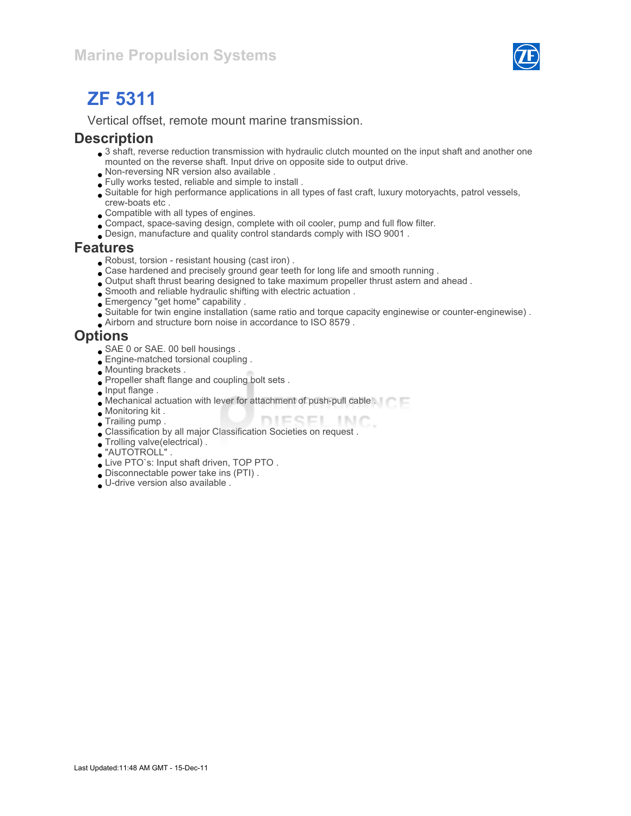

# ZF 5311

Vertical offset, remote mount marine transmission.

#### **Description**

- 3 shaft, reverse reduction transmission with hydraulic clutch mounted on the input shaft and another one mounted on the reverse shaft. Input drive on opposite side to output drive.
- Non-reversing NR version also available .
- Fully works tested, reliable and simple to install .
- Suitable for high performance applications in all types of fast craft, luxury motoryachts, patrol vessels, crew-boats etc .
- Compatible with all types of engines.
- Compact, space-saving design, complete with oil cooler, pump and full flow filter.
- Design, manufacture and quality control standards comply with ISO 9001 .

#### Features

- Robust, torsion resistant housing (cast iron) .
- Case hardened and precisely ground gear teeth for long life and smooth running .
- Output shaft thrust bearing designed to take maximum propeller thrust astern and ahead .
- Smooth and reliable hydraulic shifting with electric actuation .
- Emergency "get home" capability .
- Suitable for twin engine installation (same ratio and torque capacity enginewise or counter-enginewise) .
- Airborn and structure born noise in accordance to ISO 8579 .

#### **Options**

- SAE 0 or SAE. 00 bell housings .
- **Engine-matched torsional coupling**.
- Mounting brackets .
- Propeller shaft flange and coupling bolt sets .
- **Input flange.**
- Mechanical actuation with lever for attachment of push-pull cable .
- Monitoring kit .
- **Trailing pump.**
- DIESEL INC. Classification by all major Classification Societies on request .
- Trolling valve(electrical) .
- "AUTOTROLL" .
- Live PTO`s: Input shaft driven, TOP PTO .
- Disconnectable power take ins (PTI) .
- U-drive version also available .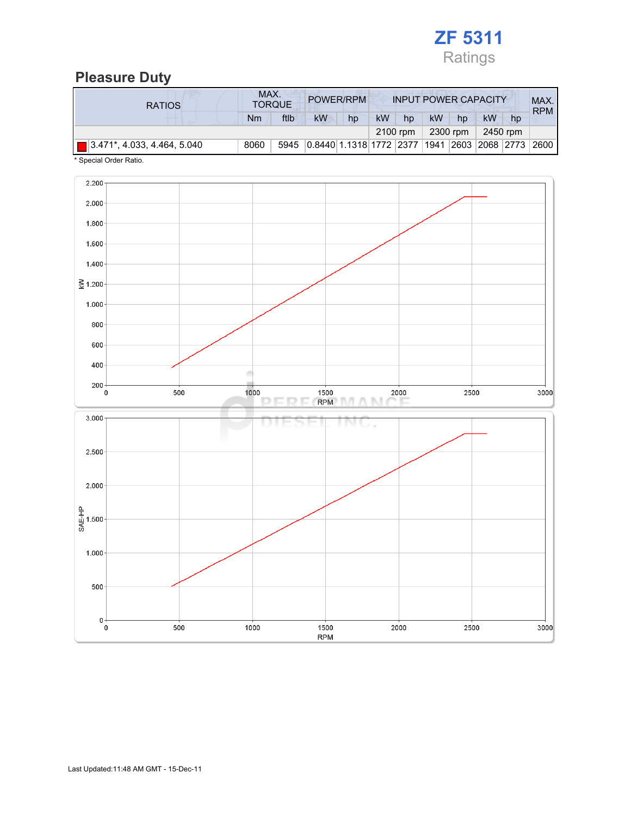

# Pleasure Duty

| <b>RATIOS</b>                          | MAX. | <b>TORQUE</b> | POWER/RPM                                        |    |           |          |    |          | <b>INPUT POWER CAPACITY</b> |    | MAX.<br><b>RPM</b> |
|----------------------------------------|------|---------------|--------------------------------------------------|----|-----------|----------|----|----------|-----------------------------|----|--------------------|
|                                        | Nm   | ftlb          | <b>kW</b>                                        | hp | <b>kW</b> | hp       | kW | hp       | kW                          | hp |                    |
|                                        |      |               |                                                  |    |           | 2100 rpm |    | 2300 rpm | 2450 rpm                    |    |                    |
| $\sqrt{3.471^*}$ , 4.033, 4.464, 5.040 | 8060 | 5945          | 0.8440 1.1318 1772 2377 1941 2603 2068 2773 2600 |    |           |          |    |          |                             |    |                    |

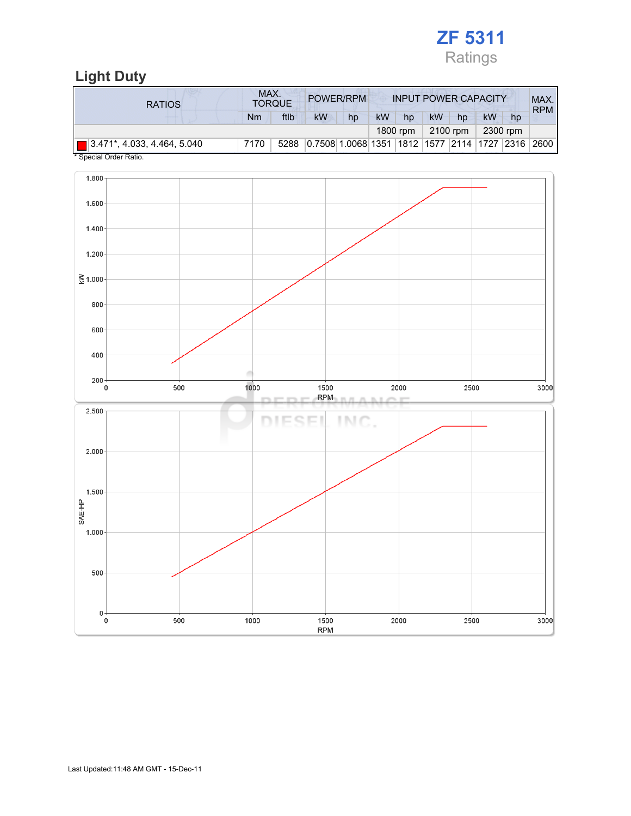

## Light Duty

| <b>RATIOS</b>                           | MAX. | <b>TORQUE</b> |                                                    | POWER/RPM |           |          |    | <b>INPUT POWER CAPACITY</b> |          |    | MAX.<br><b>RPM</b> |
|-----------------------------------------|------|---------------|----------------------------------------------------|-----------|-----------|----------|----|-----------------------------|----------|----|--------------------|
|                                         | Nm   | ftlb          | kW                                                 | hp        | <b>kW</b> | hp       | kW | hp                          | kW       | hp |                    |
|                                         |      |               |                                                    |           |           | 1800 rpm |    | 2100 rpm                    | 2300 rpm |    |                    |
| $\boxed{ }$ 3.471*, 4.033, 4.464, 5.040 | 7170 | 5288          | 10.750811.006811351 1812 11577 2114 1727 2316 2600 |           |           |          |    |                             |          |    |                    |

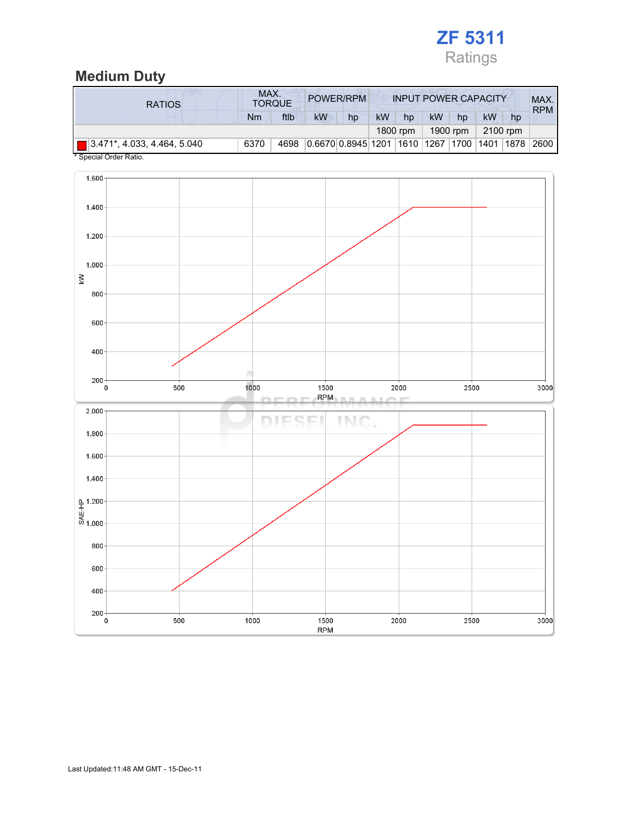

### Medium Duty

| <b>RATIOS</b>                           |      | MAX.<br>POWER/RPM<br><b>TORQUE</b> |                                             |    | <b>INPUT POWER CAPACITY</b> |          |    |          |          |    | MAX.<br><b>RPM</b> |
|-----------------------------------------|------|------------------------------------|---------------------------------------------|----|-----------------------------|----------|----|----------|----------|----|--------------------|
|                                         | Nm   | ftlb                               | kW                                          | hp | kW                          | hp       | kW | hp       | kW       | hp |                    |
|                                         |      |                                    |                                             |    |                             | 1800 rpm |    | 1900 rpm | 2100 rpm |    |                    |
| $\boxed{ }$ 3.471*, 4.033, 4.464, 5.040 | 6370 | 4698                               | 0.6670 0.8945 1201 1610 1267 1700 1401 1878 |    |                             |          |    |          |          |    | 2600               |

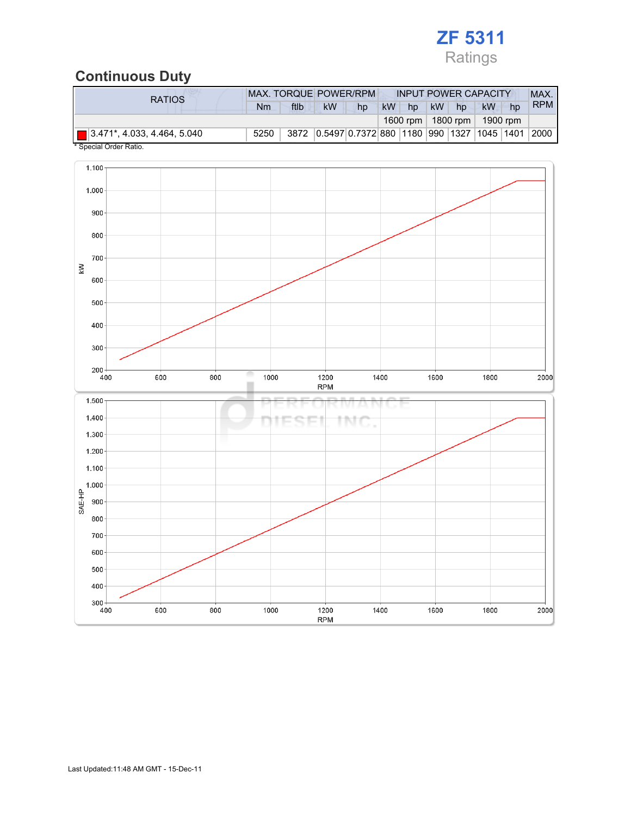# ZF 5311 Ratings

### Continuous Duty

| <b>RATIOS</b>                           | <b>MAX. TORQUE POWER/RPM</b> | <b>INPUT POWER CAPACITY</b> |    |    |                                                |           | MAX. |    |    |            |
|-----------------------------------------|------------------------------|-----------------------------|----|----|------------------------------------------------|-----------|------|----|----|------------|
|                                         | Nm                           | ftlb                        | kW | hp | <b>kW</b><br>hp                                | <b>kW</b> | hp   | kW | hp | <b>RPM</b> |
|                                         |                              |                             |    |    | 1600 rpm   1800 rpm   1900 rpm                 |           |      |    |    |            |
| $\boxed{ }$ 3.471*, 4.033, 4.464, 5.040 | 5250                         |                             |    |    | 3872 0.5497 0.7372 880 1180 990 1327 1045 1401 |           |      |    |    | 2000       |

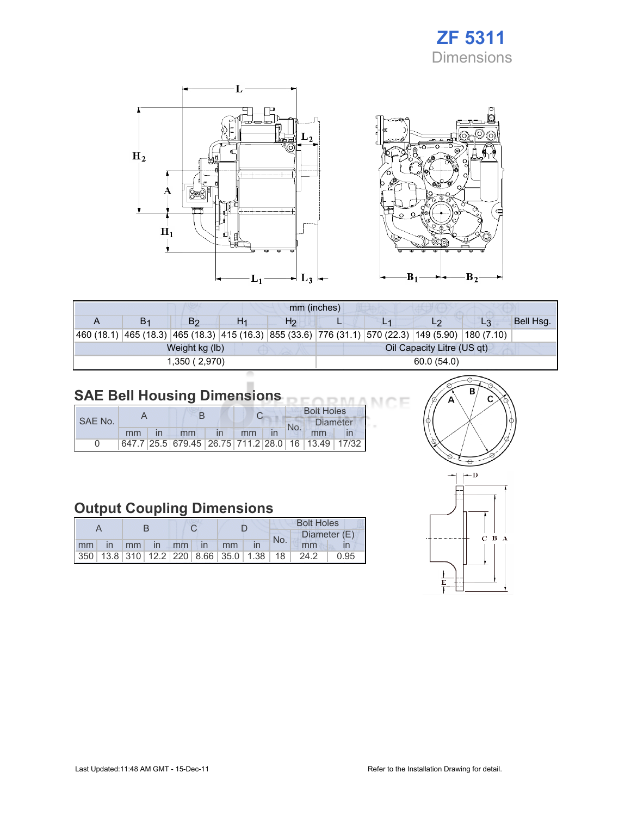# ZF 5311 **Dimensions**

Œ



| mm (inches)    |                |    |                |            |  |                                                                                                    |    |           |  |  |
|----------------|----------------|----|----------------|------------|--|----------------------------------------------------------------------------------------------------|----|-----------|--|--|
| B <sub>1</sub> | B <sub>2</sub> | H1 | H <sub>2</sub> |            |  | L2                                                                                                 | L3 | Bell Hsg. |  |  |
|                |                |    |                |            |  | 460 (18.1) 465 (18.3) 465 (18.3) 415 (16.3) 855 (33.6) 776 (31.1) 570 (22.3) 149 (5.90) 180 (7.10) |    |           |  |  |
|                | Weight kg (lb) |    |                |            |  | Oil Capacity Litre (US qt)                                                                         |    |           |  |  |
|                | 1,350 (2,970)  |    |                | 60.0(54.0) |  |                                                                                                    |    |           |  |  |

#### SAE Bell Housing Dimensions

|         |    |  |                                                   |  |    | <b>Bolt Holes</b> |                 |  |
|---------|----|--|---------------------------------------------------|--|----|-------------------|-----------------|--|
| SAE No. |    |  |                                                   |  |    | No.               | <b>Diameter</b> |  |
|         | mm |  | mm                                                |  | mm |                   | mm              |  |
|         |    |  | 647.7 25.5 679.45 26.75 711.2 28.0 16 13.49 17/32 |  |    |                   |                 |  |

## Output Coupling Dimensions

|    |              |    |          |  |  |                                                         | <b>Bolt Holes</b> |              |      |  |
|----|--------------|----|----------|--|--|---------------------------------------------------------|-------------------|--------------|------|--|
|    |              |    |          |  |  |                                                         | No.               | Diameter (E) |      |  |
| mm | $\mathsf{I}$ | mm | in mm in |  |  | mm                                                      |                   | mm           |      |  |
|    |              |    |          |  |  | 350   13.8   310   12.2   220   8.66   35.0   1.38   18 |                   | 24.2         | 0.95 |  |